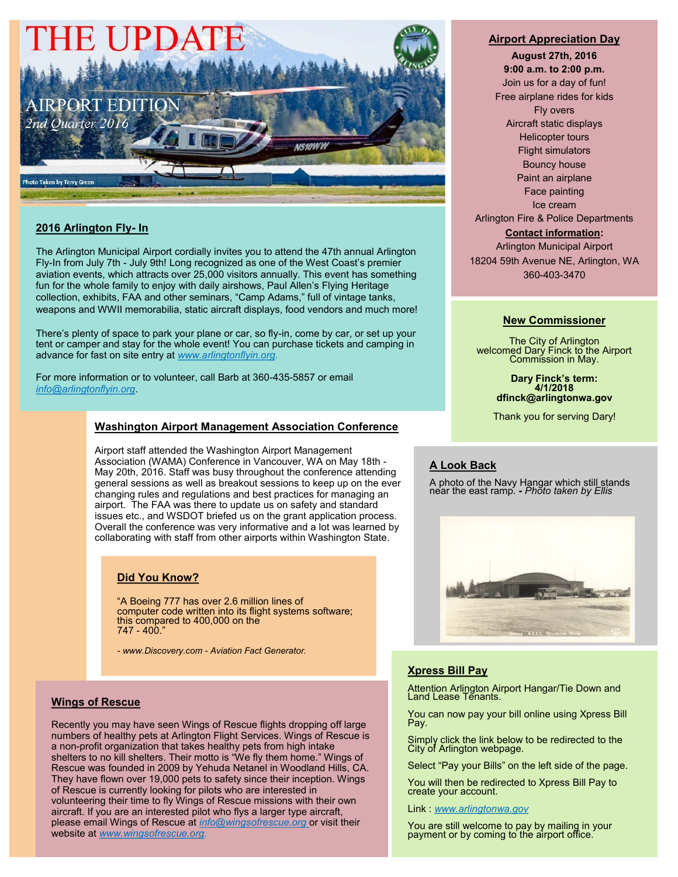

## **2016 Arlington Fly- In**

The Arlington Municipal Airport cordially invites you to attend the 47th annual Arlington Fly-In from July 7th - July 9th! Long recognized as one of the West Coast's premier aviation events, which attracts over 25,000 visitors annually. This event has something fun for the whole family to enjoy with daily airshows, Paul Allen's Flying Heritage collection, exhibits, FAA and other seminars, "Camp Adams," full of vintage tanks, weapons and WWII memorabilia, static aircraft displays, food vendors and much more!

There's plenty of space to park your plane or car, so fly-in, come by car, or set up your tent or camper and stay for the whole event! You can purchase tickets and camping in advance for fast on site entry at *www.arlingtonflyin.org.*

For more information or to volunteer, call Barb at 360-435-5857 or email *info@arlingtonflyin.org*.

### **Washington Airport Management Association Conference**

Airport staff attended the Washington Airport Management Association (WAMA) Conference in Vancouver, WA on May 18th - May 20th, 2016. Staff was busy throughout the conference attending general sessions as well as breakout sessions to keep up on the ever changing rules and regulations and best practices for managing an airport. The FAA was there to update us on safety and standard issues etc., and WSDOT briefed us on the grant application process. Overall the conference was very informative and a lot was learned by collaborating with staff from other airports within Washington State.

#### **Did You Know?**

"A Boeing 777 has over 2.6 million lines of computer code written into its flight systems software; this compared to 400,000 on the 747 - 400."

*- www.Discovery.com - Aviation Fact Generator.*

#### **Wings of Rescue**

Recently you may have seen Wings of Rescue flights dropping off large numbers of healthy pets at Arlington Flight Services. Wings of Rescue is a non-profit organization that takes healthy pets from high intake shelters to no kill shelters. Their motto is "We fly them home." Wings of Rescue was founded in 2009 by Yehuda Netanel in Woodland Hills, CA. They have flown over 19,000 pets to safety since their inception. Wings of Rescue is currently looking for pilots who are interested in volunteering their time to fly Wings of Rescue missions with their own aircraft. If you are an interested pilot who flys a larger type aircraft, please email Wings of Rescue at *info@wingsofrescue.org* or visit their website at *www.wingsofrescue.org.* 

#### **Airport Appreciation Day**

**August 27th, 2016 9:00 a.m. to 2:00 p.m.** Join us for a day of fun! Free airplane rides for kids Fly overs Aircraft static displays Helicopter tours Flight simulators Bouncy house Paint an airplane Face painting Ice cream Arlington Fire & Police Departments

#### **Contact information:**

Arlington Municipal Airport 18204 59th Avenue NE, Arlington, WA 360-403-3470

#### **New Commissioner**

The City of Arlington welcomed Dary Finck to the Airport Commission in May.

> **Dary Finck's term: 4/1/2018 dfinck@arlingtonwa.gov**

Thank you for serving Dary!

#### **A Look Back**

A photo of the Navy Hangar which still stands near the east ramp. **-** *Photo taken by Ellis*



### **Xpress Bill Pay**

Attention Arlington Airport Hangar/Tie Down and Land Lease Tenants.

You can now pay your bill online using Xpress Bill Pay.

Simply click the link below to be redirected to the City of Arlington webpage.

Select "Pay your Bills" on the left side of the page.

You will then be redirected to Xpress Bill Pay to create your account.

Link : *www.arlingtonwa.gov* 

You are still welcome to pay by mailing in your payment or by coming to the airport office.